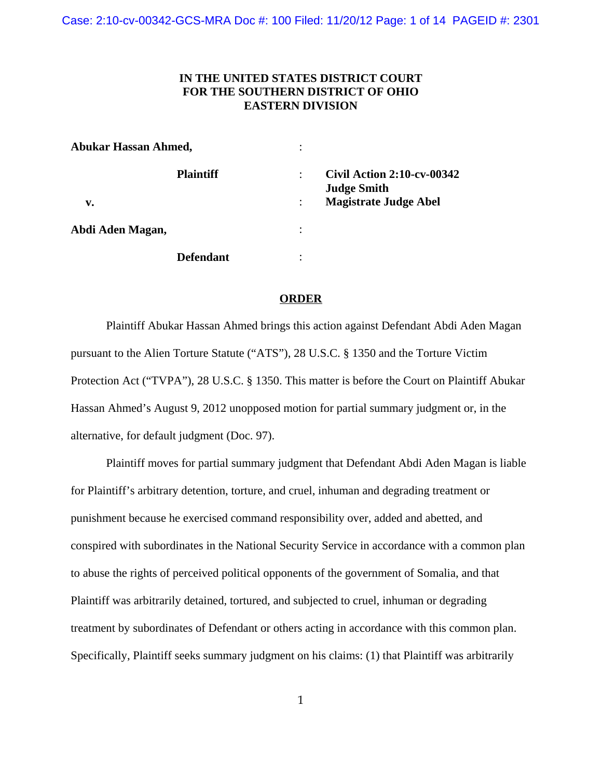# **IN THE UNITED STATES DISTRICT COURT FOR THE SOUTHERN DISTRICT OF OHIO EASTERN DIVISION**

| <b>Abukar Hassan Ahmed,</b> |                  | ٠ |                                                                                         |
|-----------------------------|------------------|---|-----------------------------------------------------------------------------------------|
| v.                          | <b>Plaintiff</b> |   | <b>Civil Action 2:10-cv-00342</b><br><b>Judge Smith</b><br><b>Magistrate Judge Abel</b> |
| Abdi Aden Magan,            |                  | ٠ |                                                                                         |
|                             | <b>Defendant</b> |   |                                                                                         |

## **ORDER**

Plaintiff Abukar Hassan Ahmed brings this action against Defendant Abdi Aden Magan pursuant to the Alien Torture Statute ("ATS"), 28 U.S.C. § 1350 and the Torture Victim Protection Act ("TVPA"), 28 U.S.C. § 1350. This matter is before the Court on Plaintiff Abukar Hassan Ahmed's August 9, 2012 unopposed motion for partial summary judgment or, in the alternative, for default judgment (Doc. 97).

Plaintiff moves for partial summary judgment that Defendant Abdi Aden Magan is liable for Plaintiff's arbitrary detention, torture, and cruel, inhuman and degrading treatment or punishment because he exercised command responsibility over, added and abetted, and conspired with subordinates in the National Security Service in accordance with a common plan to abuse the rights of perceived political opponents of the government of Somalia, and that Plaintiff was arbitrarily detained, tortured, and subjected to cruel, inhuman or degrading treatment by subordinates of Defendant or others acting in accordance with this common plan. Specifically, Plaintiff seeks summary judgment on his claims: (1) that Plaintiff was arbitrarily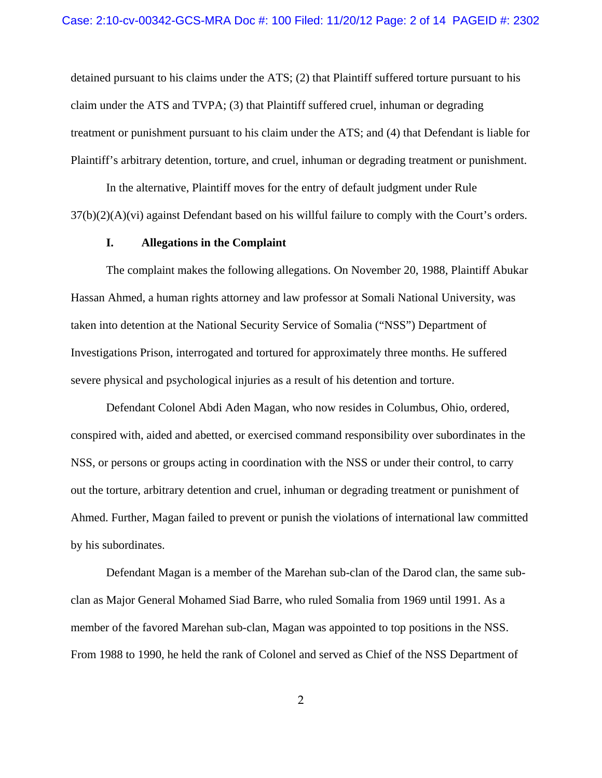detained pursuant to his claims under the ATS; (2) that Plaintiff suffered torture pursuant to his claim under the ATS and TVPA; (3) that Plaintiff suffered cruel, inhuman or degrading treatment or punishment pursuant to his claim under the ATS; and (4) that Defendant is liable for Plaintiff's arbitrary detention, torture, and cruel, inhuman or degrading treatment or punishment.

In the alternative, Plaintiff moves for the entry of default judgment under Rule  $37(b)(2)(A)(vi)$  against Defendant based on his willful failure to comply with the Court's orders.

## **I. Allegations in the Complaint**

The complaint makes the following allegations. On November 20, 1988, Plaintiff Abukar Hassan Ahmed, a human rights attorney and law professor at Somali National University, was taken into detention at the National Security Service of Somalia ("NSS") Department of Investigations Prison, interrogated and tortured for approximately three months. He suffered severe physical and psychological injuries as a result of his detention and torture.

Defendant Colonel Abdi Aden Magan, who now resides in Columbus, Ohio, ordered, conspired with, aided and abetted, or exercised command responsibility over subordinates in the NSS, or persons or groups acting in coordination with the NSS or under their control, to carry out the torture, arbitrary detention and cruel, inhuman or degrading treatment or punishment of Ahmed. Further, Magan failed to prevent or punish the violations of international law committed by his subordinates.

Defendant Magan is a member of the Marehan sub-clan of the Darod clan, the same subclan as Major General Mohamed Siad Barre, who ruled Somalia from 1969 until 1991. As a member of the favored Marehan sub-clan, Magan was appointed to top positions in the NSS. From 1988 to 1990, he held the rank of Colonel and served as Chief of the NSS Department of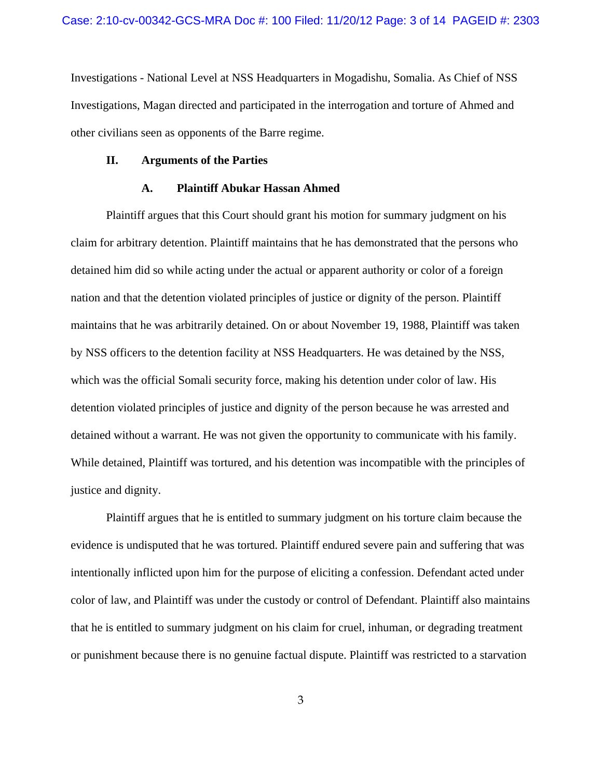Investigations - National Level at NSS Headquarters in Mogadishu, Somalia. As Chief of NSS Investigations, Magan directed and participated in the interrogation and torture of Ahmed and other civilians seen as opponents of the Barre regime.

#### **II. Arguments of the Parties**

### **A. Plaintiff Abukar Hassan Ahmed**

Plaintiff argues that this Court should grant his motion for summary judgment on his claim for arbitrary detention. Plaintiff maintains that he has demonstrated that the persons who detained him did so while acting under the actual or apparent authority or color of a foreign nation and that the detention violated principles of justice or dignity of the person. Plaintiff maintains that he was arbitrarily detained. On or about November 19, 1988, Plaintiff was taken by NSS officers to the detention facility at NSS Headquarters. He was detained by the NSS, which was the official Somali security force, making his detention under color of law. His detention violated principles of justice and dignity of the person because he was arrested and detained without a warrant. He was not given the opportunity to communicate with his family. While detained, Plaintiff was tortured, and his detention was incompatible with the principles of justice and dignity.

Plaintiff argues that he is entitled to summary judgment on his torture claim because the evidence is undisputed that he was tortured. Plaintiff endured severe pain and suffering that was intentionally inflicted upon him for the purpose of eliciting a confession. Defendant acted under color of law, and Plaintiff was under the custody or control of Defendant. Plaintiff also maintains that he is entitled to summary judgment on his claim for cruel, inhuman, or degrading treatment or punishment because there is no genuine factual dispute. Plaintiff was restricted to a starvation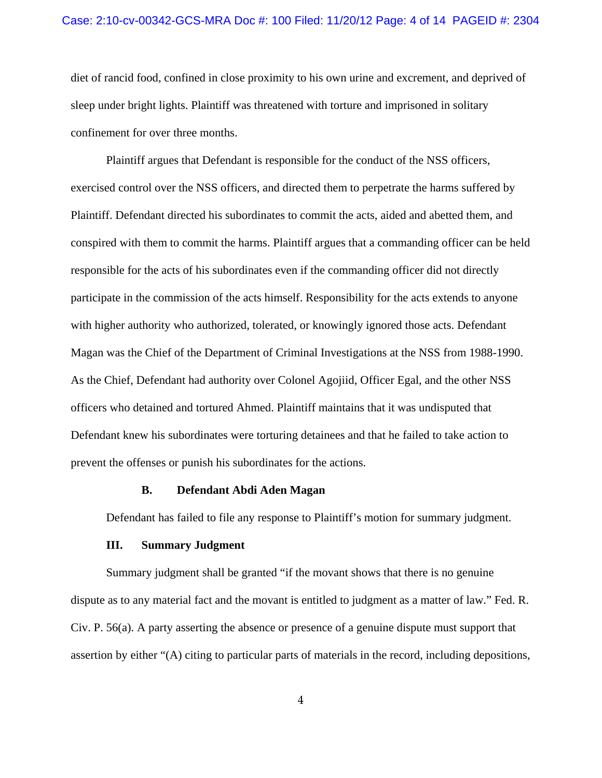#### Case: 2:10-cv-00342-GCS-MRA Doc #: 100 Filed: 11/20/12 Page: 4 of 14 PAGEID #: 2304

diet of rancid food, confined in close proximity to his own urine and excrement, and deprived of sleep under bright lights. Plaintiff was threatened with torture and imprisoned in solitary confinement for over three months.

Plaintiff argues that Defendant is responsible for the conduct of the NSS officers, exercised control over the NSS officers, and directed them to perpetrate the harms suffered by Plaintiff. Defendant directed his subordinates to commit the acts, aided and abetted them, and conspired with them to commit the harms. Plaintiff argues that a commanding officer can be held responsible for the acts of his subordinates even if the commanding officer did not directly participate in the commission of the acts himself. Responsibility for the acts extends to anyone with higher authority who authorized, tolerated, or knowingly ignored those acts. Defendant Magan was the Chief of the Department of Criminal Investigations at the NSS from 1988-1990. As the Chief, Defendant had authority over Colonel Agojiid, Officer Egal, and the other NSS officers who detained and tortured Ahmed. Plaintiff maintains that it was undisputed that Defendant knew his subordinates were torturing detainees and that he failed to take action to prevent the offenses or punish his subordinates for the actions.

## **B. Defendant Abdi Aden Magan**

Defendant has failed to file any response to Plaintiff's motion for summary judgment.

## **III. Summary Judgment**

Summary judgment shall be granted "if the movant shows that there is no genuine dispute as to any material fact and the movant is entitled to judgment as a matter of law." Fed. R. Civ. P. 56(a). A party asserting the absence or presence of a genuine dispute must support that assertion by either "(A) citing to particular parts of materials in the record, including depositions,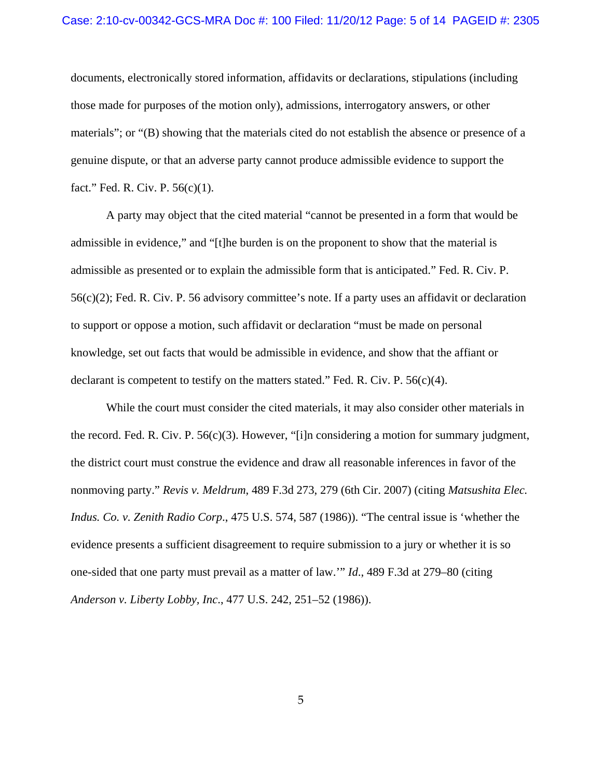#### Case: 2:10-cv-00342-GCS-MRA Doc #: 100 Filed: 11/20/12 Page: 5 of 14 PAGEID #: 2305

documents, electronically stored information, affidavits or declarations, stipulations (including those made for purposes of the motion only), admissions, interrogatory answers, or other materials"; or "(B) showing that the materials cited do not establish the absence or presence of a genuine dispute, or that an adverse party cannot produce admissible evidence to support the fact." Fed. R. Civ. P. 56(c)(1).

A party may object that the cited material "cannot be presented in a form that would be admissible in evidence," and "[t]he burden is on the proponent to show that the material is admissible as presented or to explain the admissible form that is anticipated." Fed. R. Civ. P. 56(c)(2); Fed. R. Civ. P. 56 advisory committee's note. If a party uses an affidavit or declaration to support or oppose a motion, such affidavit or declaration "must be made on personal knowledge, set out facts that would be admissible in evidence, and show that the affiant or declarant is competent to testify on the matters stated." Fed. R. Civ. P.  $56(c)(4)$ .

While the court must consider the cited materials, it may also consider other materials in the record. Fed. R. Civ. P.  $56(c)(3)$ . However, "[i]n considering a motion for summary judgment, the district court must construe the evidence and draw all reasonable inferences in favor of the nonmoving party." *Revis v. Meldrum*, 489 F.3d 273, 279 (6th Cir. 2007) (citing *Matsushita Elec. Indus. Co. v. Zenith Radio Corp*., 475 U.S. 574, 587 (1986)). "The central issue is 'whether the evidence presents a sufficient disagreement to require submission to a jury or whether it is so one-sided that one party must prevail as a matter of law.'" *Id*., 489 F.3d at 279–80 (citing *Anderson v. Liberty Lobby, Inc*., 477 U.S. 242, 251–52 (1986)).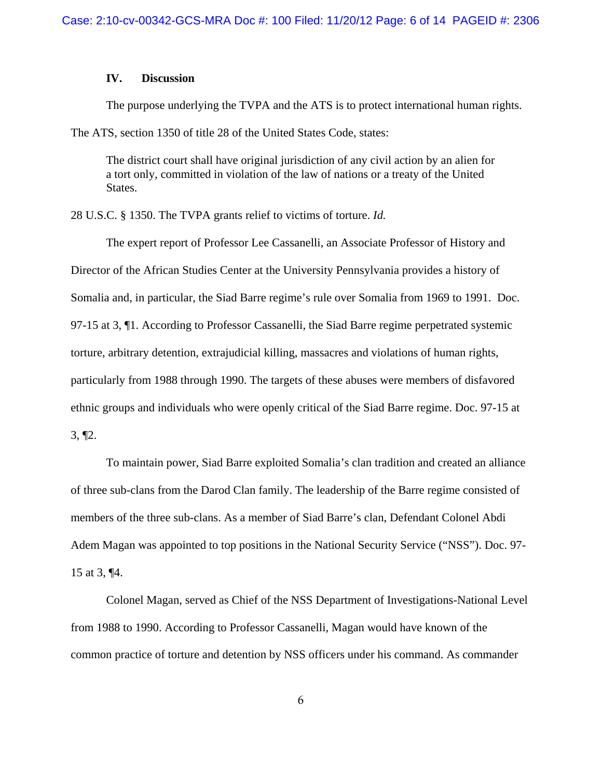# **IV. Discussion**

The purpose underlying the TVPA and the ATS is to protect international human rights. The ATS, section 1350 of title 28 of the United States Code, states:

The district court shall have original jurisdiction of any civil action by an alien for a tort only, committed in violation of the law of nations or a treaty of the United States.

28 U.S.C. § 1350. The TVPA grants relief to victims of torture. *Id.*

The expert report of Professor Lee Cassanelli, an Associate Professor of History and Director of the African Studies Center at the University Pennsylvania provides a history of Somalia and, in particular, the Siad Barre regime's rule over Somalia from 1969 to 1991. Doc. 97-15 at 3, ¶1. According to Professor Cassanelli, the Siad Barre regime perpetrated systemic torture, arbitrary detention, extrajudicial killing, massacres and violations of human rights, particularly from 1988 through 1990. The targets of these abuses were members of disfavored ethnic groups and individuals who were openly critical of the Siad Barre regime. Doc. 97-15 at 3, ¶2.

To maintain power, Siad Barre exploited Somalia's clan tradition and created an alliance of three sub-clans from the Darod Clan family. The leadership of the Barre regime consisted of members of the three sub-clans. As a member of Siad Barre's clan, Defendant Colonel Abdi Adem Magan was appointed to top positions in the National Security Service ("NSS"). Doc. 97- 15 at 3, ¶4.

Colonel Magan, served as Chief of the NSS Department of Investigations-National Level from 1988 to 1990. According to Professor Cassanelli, Magan would have known of the common practice of torture and detention by NSS officers under his command. As commander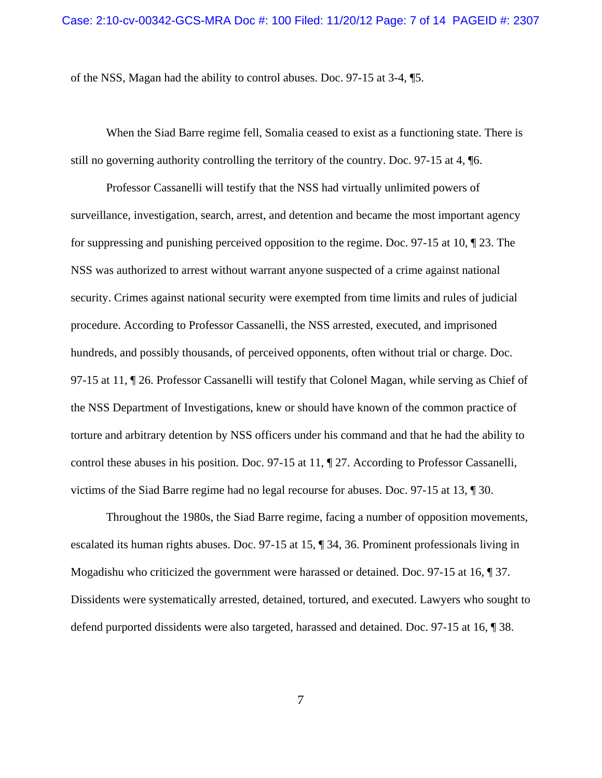of the NSS, Magan had the ability to control abuses. Doc. 97-15 at 3-4, ¶5.

When the Siad Barre regime fell, Somalia ceased to exist as a functioning state. There is still no governing authority controlling the territory of the country. Doc. 97-15 at 4, ¶6.

Professor Cassanelli will testify that the NSS had virtually unlimited powers of surveillance, investigation, search, arrest, and detention and became the most important agency for suppressing and punishing perceived opposition to the regime. Doc. 97-15 at 10, ¶ 23. The NSS was authorized to arrest without warrant anyone suspected of a crime against national security. Crimes against national security were exempted from time limits and rules of judicial procedure. According to Professor Cassanelli, the NSS arrested, executed, and imprisoned hundreds, and possibly thousands, of perceived opponents, often without trial or charge. Doc. 97-15 at 11, ¶ 26. Professor Cassanelli will testify that Colonel Magan, while serving as Chief of the NSS Department of Investigations, knew or should have known of the common practice of torture and arbitrary detention by NSS officers under his command and that he had the ability to control these abuses in his position. Doc. 97-15 at 11, ¶ 27. According to Professor Cassanelli, victims of the Siad Barre regime had no legal recourse for abuses. Doc. 97-15 at 13, ¶ 30.

Throughout the 1980s, the Siad Barre regime, facing a number of opposition movements, escalated its human rights abuses. Doc. 97-15 at 15, ¶ 34, 36. Prominent professionals living in Mogadishu who criticized the government were harassed or detained. Doc. 97-15 at 16, ¶ 37. Dissidents were systematically arrested, detained, tortured, and executed. Lawyers who sought to defend purported dissidents were also targeted, harassed and detained. Doc. 97-15 at 16, ¶ 38.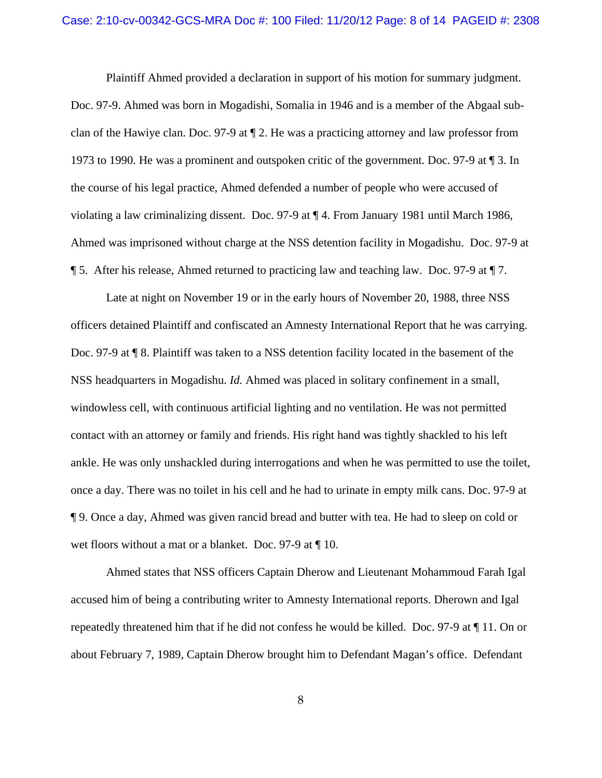#### Case: 2:10-cv-00342-GCS-MRA Doc #: 100 Filed: 11/20/12 Page: 8 of 14 PAGEID #: 2308

Plaintiff Ahmed provided a declaration in support of his motion for summary judgment. Doc. 97-9. Ahmed was born in Mogadishi, Somalia in 1946 and is a member of the Abgaal subclan of the Hawiye clan. Doc. 97-9 at ¶ 2. He was a practicing attorney and law professor from 1973 to 1990. He was a prominent and outspoken critic of the government. Doc. 97-9 at ¶ 3. In the course of his legal practice, Ahmed defended a number of people who were accused of violating a law criminalizing dissent. Doc. 97-9 at ¶ 4. From January 1981 until March 1986, Ahmed was imprisoned without charge at the NSS detention facility in Mogadishu. Doc. 97-9 at ¶ 5. After his release, Ahmed returned to practicing law and teaching law. Doc. 97-9 at ¶ 7.

Late at night on November 19 or in the early hours of November 20, 1988, three NSS officers detained Plaintiff and confiscated an Amnesty International Report that he was carrying. Doc. 97-9 at ¶ 8. Plaintiff was taken to a NSS detention facility located in the basement of the NSS headquarters in Mogadishu. *Id.* Ahmed was placed in solitary confinement in a small, windowless cell, with continuous artificial lighting and no ventilation. He was not permitted contact with an attorney or family and friends. His right hand was tightly shackled to his left ankle. He was only unshackled during interrogations and when he was permitted to use the toilet, once a day. There was no toilet in his cell and he had to urinate in empty milk cans. Doc. 97-9 at ¶ 9. Once a day, Ahmed was given rancid bread and butter with tea. He had to sleep on cold or wet floors without a mat or a blanket. Doc. 97-9 at  $\P$  10.

Ahmed states that NSS officers Captain Dherow and Lieutenant Mohammoud Farah Igal accused him of being a contributing writer to Amnesty International reports. Dherown and Igal repeatedly threatened him that if he did not confess he would be killed. Doc. 97-9 at ¶ 11. On or about February 7, 1989, Captain Dherow brought him to Defendant Magan's office. Defendant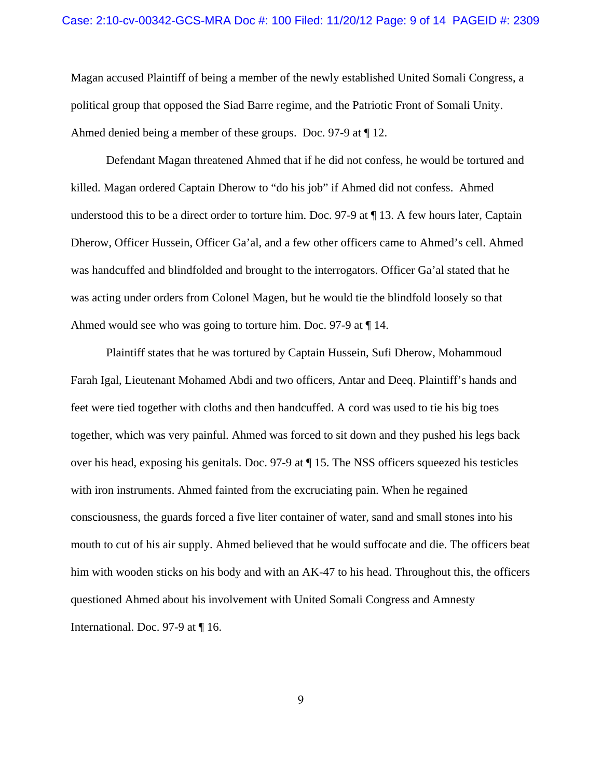Magan accused Plaintiff of being a member of the newly established United Somali Congress, a political group that opposed the Siad Barre regime, and the Patriotic Front of Somali Unity. Ahmed denied being a member of these groups. Doc. 97-9 at ¶ 12.

Defendant Magan threatened Ahmed that if he did not confess, he would be tortured and killed. Magan ordered Captain Dherow to "do his job" if Ahmed did not confess. Ahmed understood this to be a direct order to torture him. Doc. 97-9 at ¶ 13. A few hours later, Captain Dherow, Officer Hussein, Officer Ga'al, and a few other officers came to Ahmed's cell. Ahmed was handcuffed and blindfolded and brought to the interrogators. Officer Ga'al stated that he was acting under orders from Colonel Magen, but he would tie the blindfold loosely so that Ahmed would see who was going to torture him. Doc. 97-9 at ¶ 14.

Plaintiff states that he was tortured by Captain Hussein, Sufi Dherow, Mohammoud Farah Igal, Lieutenant Mohamed Abdi and two officers, Antar and Deeq. Plaintiff's hands and feet were tied together with cloths and then handcuffed. A cord was used to tie his big toes together, which was very painful. Ahmed was forced to sit down and they pushed his legs back over his head, exposing his genitals. Doc. 97-9 at ¶ 15. The NSS officers squeezed his testicles with iron instruments. Ahmed fainted from the excruciating pain. When he regained consciousness, the guards forced a five liter container of water, sand and small stones into his mouth to cut of his air supply. Ahmed believed that he would suffocate and die. The officers beat him with wooden sticks on his body and with an AK-47 to his head. Throughout this, the officers questioned Ahmed about his involvement with United Somali Congress and Amnesty International. Doc. 97-9 at ¶ 16.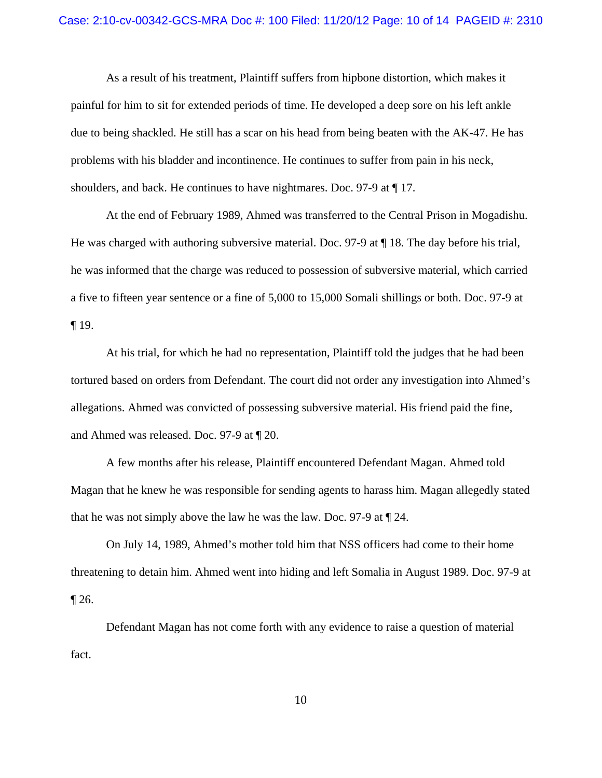#### Case: 2:10-cv-00342-GCS-MRA Doc #: 100 Filed: 11/20/12 Page: 10 of 14 PAGEID #: 2310

As a result of his treatment, Plaintiff suffers from hipbone distortion, which makes it painful for him to sit for extended periods of time. He developed a deep sore on his left ankle due to being shackled. He still has a scar on his head from being beaten with the AK-47. He has problems with his bladder and incontinence. He continues to suffer from pain in his neck, shoulders, and back. He continues to have nightmares. Doc. 97-9 at ¶ 17.

At the end of February 1989, Ahmed was transferred to the Central Prison in Mogadishu. He was charged with authoring subversive material. Doc. 97-9 at ¶ 18. The day before his trial, he was informed that the charge was reduced to possession of subversive material, which carried a five to fifteen year sentence or a fine of 5,000 to 15,000 Somali shillings or both. Doc. 97-9 at ¶ 19.

At his trial, for which he had no representation, Plaintiff told the judges that he had been tortured based on orders from Defendant. The court did not order any investigation into Ahmed's allegations. Ahmed was convicted of possessing subversive material. His friend paid the fine, and Ahmed was released. Doc. 97-9 at ¶ 20.

A few months after his release, Plaintiff encountered Defendant Magan. Ahmed told Magan that he knew he was responsible for sending agents to harass him. Magan allegedly stated that he was not simply above the law he was the law. Doc. 97-9 at ¶ 24.

On July 14, 1989, Ahmed's mother told him that NSS officers had come to their home threatening to detain him. Ahmed went into hiding and left Somalia in August 1989. Doc. 97-9 at  $\P$  26.

Defendant Magan has not come forth with any evidence to raise a question of material fact.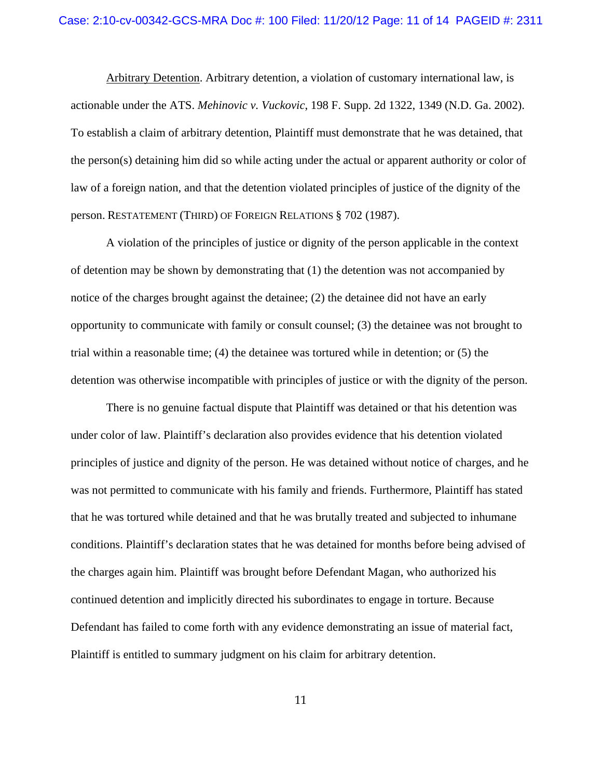Arbitrary Detention. Arbitrary detention, a violation of customary international law, is actionable under the ATS. *Mehinovic v. Vuckovic*, 198 F. Supp. 2d 1322, 1349 (N.D. Ga. 2002). To establish a claim of arbitrary detention, Plaintiff must demonstrate that he was detained, that the person(s) detaining him did so while acting under the actual or apparent authority or color of law of a foreign nation, and that the detention violated principles of justice of the dignity of the person. RESTATEMENT (THIRD) OF FOREIGN RELATIONS § 702 (1987).

A violation of the principles of justice or dignity of the person applicable in the context of detention may be shown by demonstrating that (1) the detention was not accompanied by notice of the charges brought against the detainee; (2) the detainee did not have an early opportunity to communicate with family or consult counsel; (3) the detainee was not brought to trial within a reasonable time; (4) the detainee was tortured while in detention; or (5) the detention was otherwise incompatible with principles of justice or with the dignity of the person.

There is no genuine factual dispute that Plaintiff was detained or that his detention was under color of law. Plaintiff's declaration also provides evidence that his detention violated principles of justice and dignity of the person. He was detained without notice of charges, and he was not permitted to communicate with his family and friends. Furthermore, Plaintiff has stated that he was tortured while detained and that he was brutally treated and subjected to inhumane conditions. Plaintiff's declaration states that he was detained for months before being advised of the charges again him. Plaintiff was brought before Defendant Magan, who authorized his continued detention and implicitly directed his subordinates to engage in torture. Because Defendant has failed to come forth with any evidence demonstrating an issue of material fact, Plaintiff is entitled to summary judgment on his claim for arbitrary detention.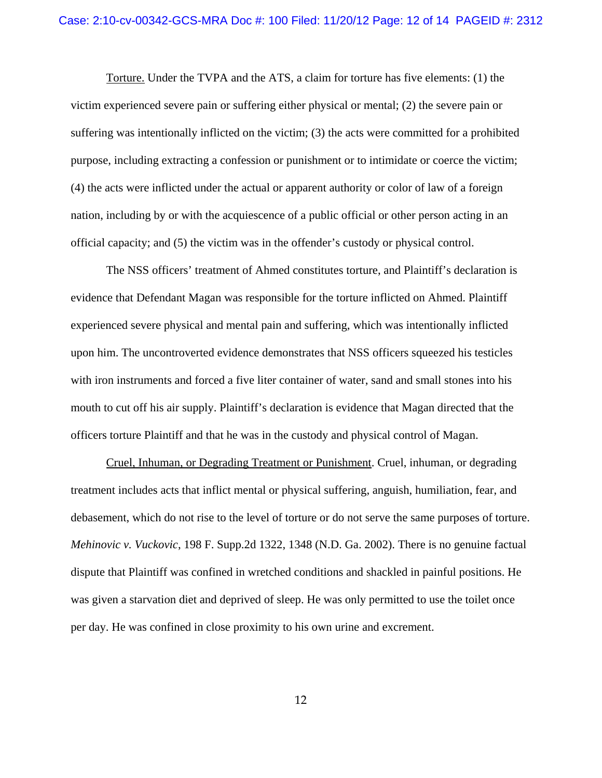Torture. Under the TVPA and the ATS, a claim for torture has five elements: (1) the victim experienced severe pain or suffering either physical or mental; (2) the severe pain or suffering was intentionally inflicted on the victim; (3) the acts were committed for a prohibited purpose, including extracting a confession or punishment or to intimidate or coerce the victim; (4) the acts were inflicted under the actual or apparent authority or color of law of a foreign nation, including by or with the acquiescence of a public official or other person acting in an official capacity; and (5) the victim was in the offender's custody or physical control.

The NSS officers' treatment of Ahmed constitutes torture, and Plaintiff's declaration is evidence that Defendant Magan was responsible for the torture inflicted on Ahmed. Plaintiff experienced severe physical and mental pain and suffering, which was intentionally inflicted upon him. The uncontroverted evidence demonstrates that NSS officers squeezed his testicles with iron instruments and forced a five liter container of water, sand and small stones into his mouth to cut off his air supply. Plaintiff's declaration is evidence that Magan directed that the officers torture Plaintiff and that he was in the custody and physical control of Magan.

Cruel, Inhuman, or Degrading Treatment or Punishment. Cruel, inhuman, or degrading treatment includes acts that inflict mental or physical suffering, anguish, humiliation, fear, and debasement, which do not rise to the level of torture or do not serve the same purposes of torture. *Mehinovic v. Vuckovic*, 198 F. Supp.2d 1322, 1348 (N.D. Ga. 2002). There is no genuine factual dispute that Plaintiff was confined in wretched conditions and shackled in painful positions. He was given a starvation diet and deprived of sleep. He was only permitted to use the toilet once per day. He was confined in close proximity to his own urine and excrement.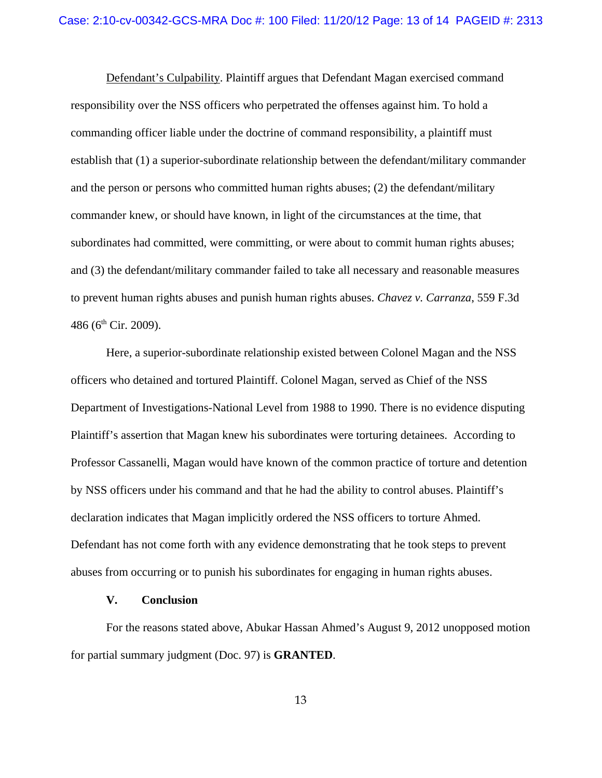Defendant's Culpability. Plaintiff argues that Defendant Magan exercised command responsibility over the NSS officers who perpetrated the offenses against him. To hold a commanding officer liable under the doctrine of command responsibility, a plaintiff must establish that (1) a superior-subordinate relationship between the defendant/military commander and the person or persons who committed human rights abuses; (2) the defendant/military commander knew, or should have known, in light of the circumstances at the time, that subordinates had committed, were committing, or were about to commit human rights abuses; and (3) the defendant/military commander failed to take all necessary and reasonable measures to prevent human rights abuses and punish human rights abuses. *Chavez v. Carranza*, 559 F.3d 486 ( $6<sup>th</sup>$  Cir. 2009).

Here, a superior-subordinate relationship existed between Colonel Magan and the NSS officers who detained and tortured Plaintiff. Colonel Magan, served as Chief of the NSS Department of Investigations-National Level from 1988 to 1990. There is no evidence disputing Plaintiff's assertion that Magan knew his subordinates were torturing detainees. According to Professor Cassanelli, Magan would have known of the common practice of torture and detention by NSS officers under his command and that he had the ability to control abuses. Plaintiff's declaration indicates that Magan implicitly ordered the NSS officers to torture Ahmed. Defendant has not come forth with any evidence demonstrating that he took steps to prevent abuses from occurring or to punish his subordinates for engaging in human rights abuses.

## **V. Conclusion**

For the reasons stated above, Abukar Hassan Ahmed's August 9, 2012 unopposed motion for partial summary judgment (Doc. 97) is **GRANTED**.